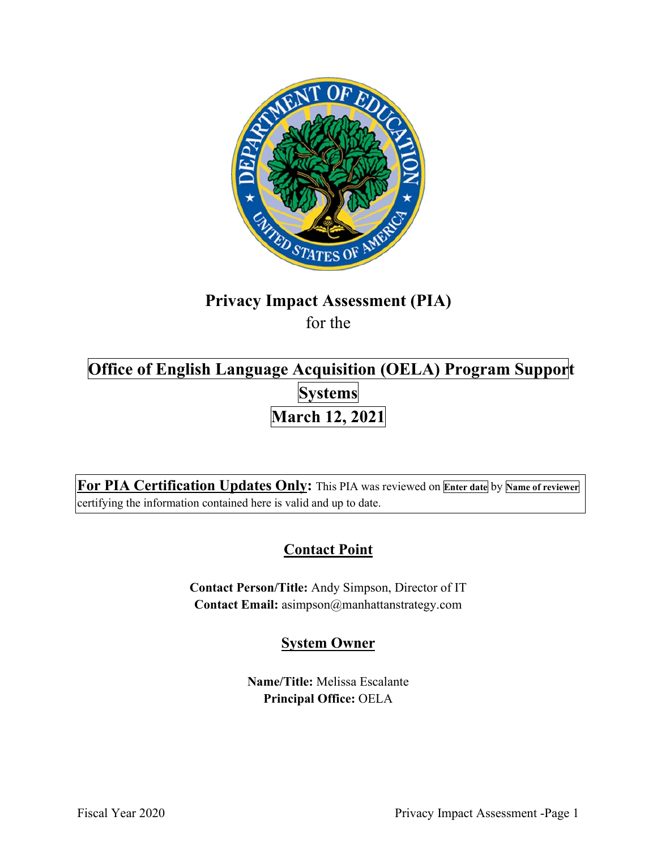

# **Privacy Impact Assessment (PIA)**  for the

# **Office of English Language Acquisition (OELA) Program Support Systems March 12, 2021**

 **For PIA Certification Updates Only:** This PIA was reviewed on **Enter date** by **Name of reviewer**  certifying the information contained here is valid and up to date.

# **Contact Point**

**Contact Person/Title:** Andy Simpson, Director of IT **Contact Email:** [asimpson@manhattanstrategy.com](mailto:asimpson@manhattanstrategy.com) 

# **System Owner**

**Name/Title:** Melissa Escalante **Principal Office:** OELA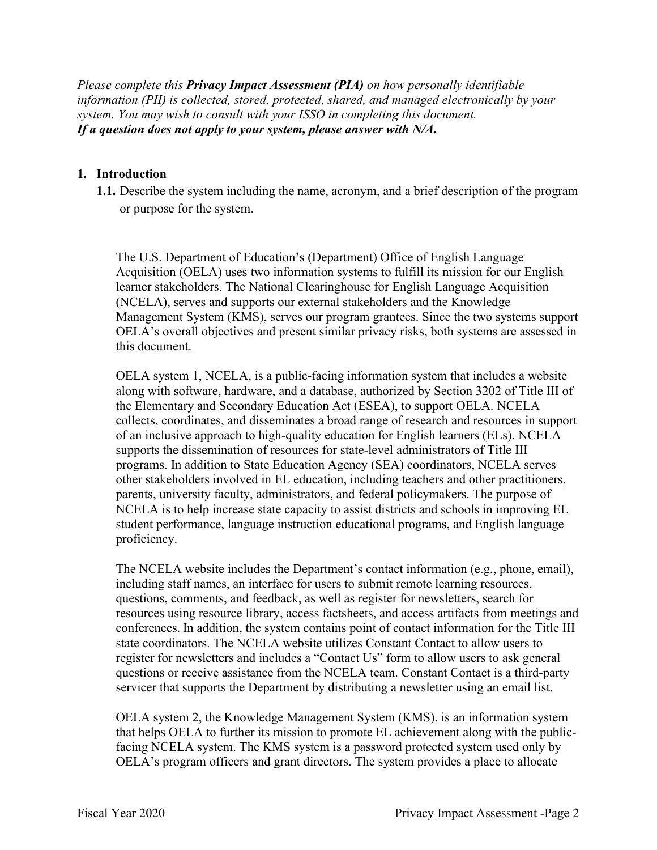*Please complete this Privacy Impact Assessment (PIA) on how personally identifiable information (PII) is collected, stored, protected, shared, and managed electronically by your system. You may wish to consult with your ISSO in completing this document. If a question does not apply to your system, please answer with N/A.* 

#### **1. Introduction**

 **1.1.** Describe the system including the name, acronym, and a brief description of the program or purpose for the system.

or purpose for the system.<br>The U.S. Department of Education's (Department) Office of English Language Acquisition (OELA) uses two information systems to fulfill its mission for our English learner stakeholders. The National Clearinghouse for English Language Acquisition (NCELA), serves and supports our external stakeholders and the Knowledge Management System (KMS), serves our program grantees. Since the two systems support OELA's overall objectives and present similar privacy risks, both systems are assessed in this document.

 OELA system 1, NCELA, is a public-facing information system that includes a website the Elementary and Secondary Education Act (ESEA), to support OELA. NCELA supports the dissemination of resources for state-level administrators of Title III proficiency. along with software, hardware, and a database, authorized by Section 3202 of Title III of collects, coordinates, and disseminates a broad range of research and resources in support of an inclusive approach to high-quality education for English learners (ELs). NCELA programs. In addition to State Education Agency (SEA) coordinators, NCELA serves other stakeholders involved in EL education, including teachers and other practitioners, parents, university faculty, administrators, and federal policymakers. The purpose of NCELA is to help increase state capacity to assist districts and schools in improving EL student performance, language instruction educational programs, and English language

 conferences. In addition, the system contains point of contact information for the Title III register for newsletters and includes a "Contact Us" form to allow users to ask general The NCELA website includes the Department's contact information (e.g., phone, email), including staff names, an interface for users to submit remote learning resources, questions, comments, and feedback, as well as register for newsletters, search for resources using resource library, access factsheets, and access artifacts from meetings and state coordinators. The NCELA website utilizes Constant Contact to allow users to questions or receive assistance from the NCELA team. Constant Contact is a third-party servicer that supports the Department by distributing a newsletter using an email list.

 OELA system 2, the Knowledge Management System (KMS), is an information system that helps OELA to further its mission to promote EL achievement along with the publicfacing NCELA system. The KMS system is a password protected system used only by OELA's program officers and grant directors. The system provides a place to allocate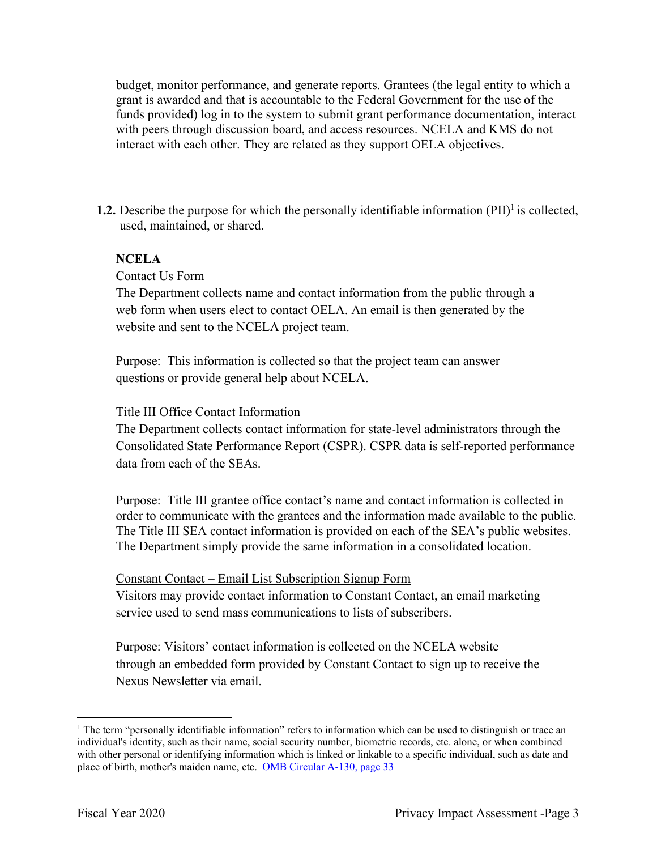budget, monitor performance, and generate reports. Grantees (the legal entity to which a grant is awarded and that is accountable to the Federal Government for the use of the funds provided) log in to the system to submit grant performance documentation, interact interact with each other. They are related as they support OELA objectives. with peers through discussion board, and access resources. NCELA and KMS do not

**1.2.** Describe the purpose for which the personally identifiable information (PII)<sup>1</sup> is collected, used, maintained, or shared.

#### **NCELA**

#### Contact Us Form

 The Department collects name and contact information from the public through a website and sent to the NCELA project team. web form when users elect to contact OELA. An email is then generated by the

website and sent to the NCELA project team.<br>Purpose: This information is collected so that the project team can answer questions or provide general help about NCELA.

#### Title III Office Contact Information

 The Department collects contact information for state-level administrators through the data from each of the SEAs. Consolidated State Performance Report (CSPR). CSPR data is self-reported performance

data from each of the SEAs.<br>Purpose: Title III grantee office contact's name and contact information is collected in The Title III SEA contact information is provided on each of the SEA's public websites. order to communicate with the grantees and the information made available to the public. The Department simply provide the same information in a consolidated location.

#### Constant Contact – Email List Subscription Signup Form

service used to send mass communications to lists of subscribers. Visitors may provide contact information to Constant Contact, an email marketing

service used to send mass communications to lists of subscribers.<br>Purpose: Visitors' contact information is collected on the NCELA website Nexus Newsletter via email. through an embedded form provided by Constant Contact to sign up to receive the

place of birth, mother's maiden name, etc. OMB Circular A-130, page 33 <sup>1</sup> The term "personally identifiable information" refers to information which can be used to distinguish or trace an individual's identity, such as their name, social security number, biometric records, etc. alone, or when combined with other personal or identifying information which is linked or linkable to a specific individual, such as date and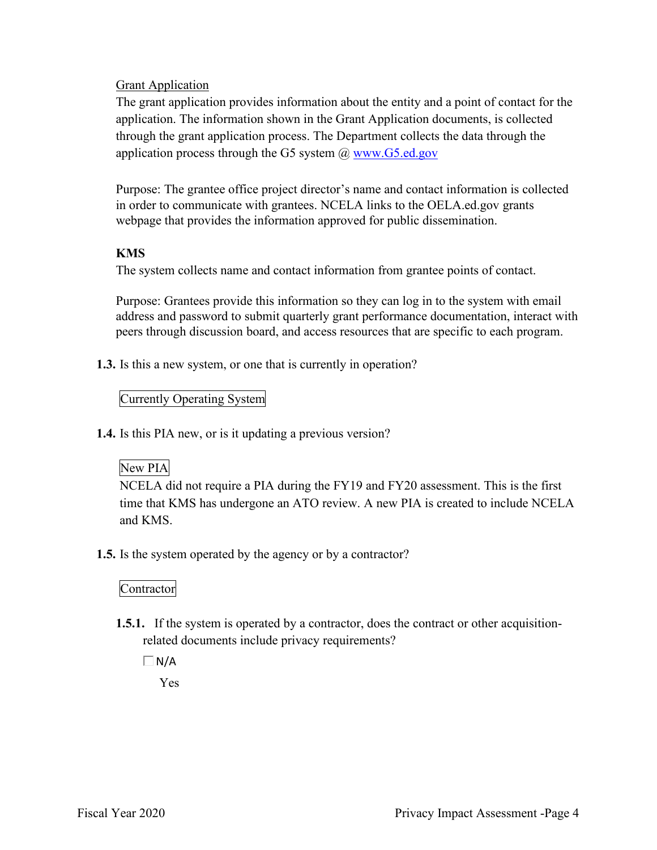Grant Application

application process through the G5 system @ www.G5.ed.gov The grant application provides information about the entity and a point of contact for the application. The information shown in the Grant Application documents, is collected through the grant application process. The Department collects the data through the

application process through the G5 system @<www.G5.ed.gov><br>Purpose: The grantee office project director's name and contact information is collected in order to communicate with grantees. NCELA links to the [OELA.ed.gov](https://OELA.ed.gov) grants webpage that provides the information approved for public dissemination.

## **KMS**

The system collects name and contact information from grantee points of contact.

 Purpose: Grantees provide this information so they can log in to the system with email peers through discussion board, and access resources that are specific to each program. address and password to submit quarterly grant performance documentation, interact with

**1.3.** Is this a new system, or one that is currently in operation?

Currently Operating System

**1.4.** Is this PIA new, or is it updating a previous version?

## New PIA

 time that KMS has undergone an ATO review. A new PIA is created to include NCELA NCELA did not require a PIA during the FY19 and FY20 assessment. This is the first and KMS.

**1.5.** Is the system operated by the agency or by a contractor?

## **Contractor**

**1.5.1.** If the system is operated by a contractor, does the contract or other acquisitionrelated documents include privacy requirements?

 $\Box N/A$ 

Yes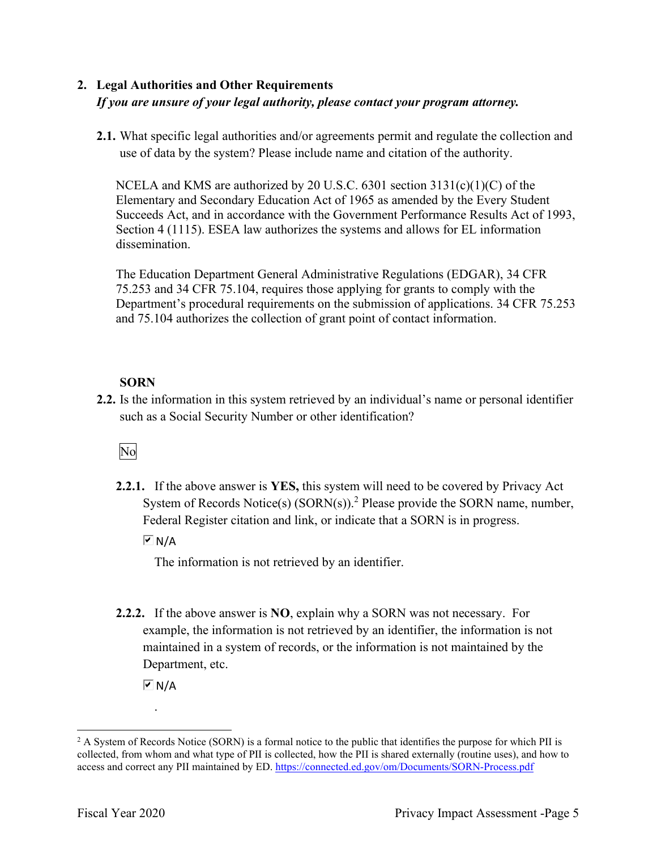## **2. Legal Authorities and Other Requirements**  *If you are unsure of your legal authority, please contact your program attorney.*

**2.1.** What specific legal authorities and/or agreements permit and regulate the collection and use of data by the system? Please include name and citation of the authority.

NCELA and KMS are authorized by 20 U.S.C. 6301 section 3131(c)(1)(C) of the Elementary and Secondary Education Act of 1965 as amended by the Every Student Succeeds Act, and in accordance with the Government Performance Results Act of 1993, Section 4 (1115). ESEA law authorizes the systems and allows for EL information dissemination.

The Education Department General Administrative Regulations (EDGAR), 34 CFR 75.253 and 34 CFR 75.104, requires those applying for grants to comply with the Department's procedural requirements on the submission of applications. 34 CFR 75.253 and 75.104 authorizes the collection of grant point of contact information.

## **SORN**

**2.2.** Is the information in this system retrieved by an individual's name or personal identifier such as a Social Security Number or other identification?

## No

**2.2.1.** If the above answer is **YES,** this system will need to be covered by Privacy Act System of Records Notice(s)  $(SORN(s))$ .<sup>2</sup> Please provide the SORN name, number, Federal Register citation and link, or indicate that a SORN is in progress.

 $\overline{M}$  N/A

The information is not retrieved by an identifier.

 **2.2.2.** If the above answer is **NO**, explain why a SORN was not necessary. For Department, etc. example, the information is not retrieved by an identifier, the information is not maintained in a system of records, or the information is not maintained by the

 $\overline{\triangleright}$  N/A

.

access and correct any PII maintained by ED. https://connected.ed.gov/om/Documents/SORN-Process.pdf<br>Fiscal Year 2020 Privacy Impact Assessment -Page 5  $2$  A System of Records Notice (SORN) is a formal notice to the public that identifies the purpose for which PII is collected, from whom and what type of PII is collected, how the PII is shared externally (routine uses), and how to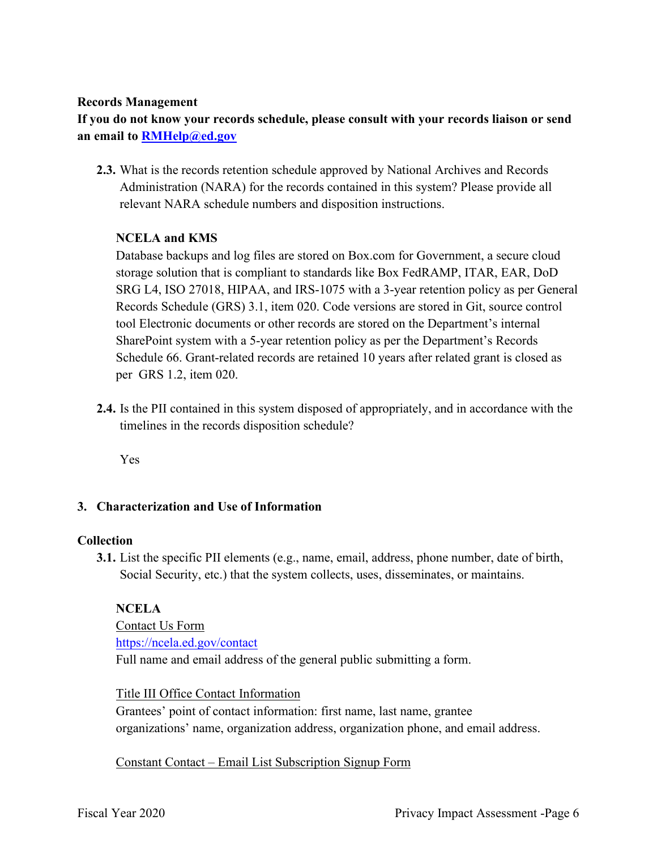#### **Records Management**

**If you do not know your records schedule, please consult with your records liaison or send an email to [RMHelp@ed.gov](mailto:RMHelp@ed.gov)** 

 **2.3.** What is the records retention schedule approved by National Archives and Records Administration (NARA) for the records contained in this system? Please provide all relevant NARA schedule numbers and disposition instructions.

## **NCELA and KMS**

Database backups and log files are stored on Box.com for Government, a secure cloud storage solution that is compliant to standards like Box FedRAMP, ITAR, EAR, DoD SRG L4, ISO 27018, HIPAA, and IRS-1075 with a 3-year retention policy as per General Records Schedule (GRS) 3.1, item 020. Code versions are stored in Git, source control tool Electronic documents or other records are stored on the Department's internal SharePoint system with a 5-year retention policy as per the Department's Records Schedule 66. Grant-related records are retained 10 years after related grant is closed as per GRS 1.2, item 020.

**2.4.** Is the PII contained in this system disposed of appropriately, and in accordance with the timelines in the records disposition schedule?

Yes

## **3. Characterization and Use of Information**

#### **Collection**

**3.1.** List the specific PII elements (e.g., name, email, address, phone number, date of birth, Social Security, etc.) that the system collects, uses, disseminates, or maintains.

#### **NCELA**

# Contact Us Form <https://ncela.ed.gov/contact>

Full name and email address of the general public submitting a form.

#### Title III Office Contact Information

 Grantees' point of contact information: first name, last name, grantee organizations' name, organization address, organization phone, and email address.

Constant Contact – Email List Subscription Signup Form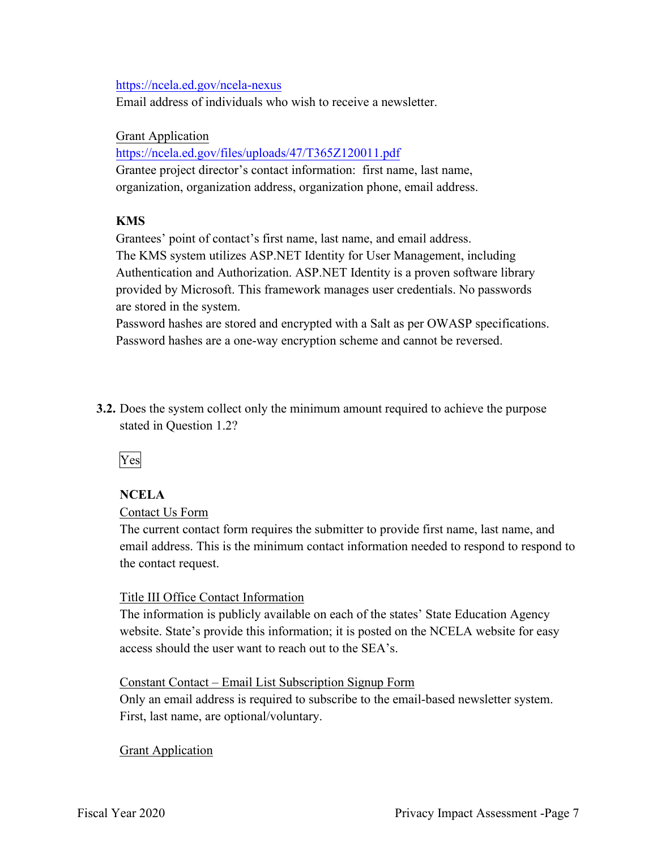#### <https://ncela.ed.gov/ncela-nexus>

Email address of individuals who wish to receive a newsletter.

#### Grant Application

#### <https://ncela.ed.gov/files/uploads/47/T365Z120011.pdf>

Grantee project director's contact information: first name, last name, organization, organization address, organization phone, email address.

## **KMS**

Grantees' point of contact's first name, last name, and email address. The KMS system utilizes ASP.NET Identity for User Management, including Authentication and Authorization. ASP.NET Identity is a proven software library provided by Microsoft. This framework manages user credentials. No passwords are stored in the system.

Password hashes are stored and encrypted with a Salt as per OWASP specifications. Password hashes are a one-way encryption scheme and cannot be reversed.

**3.2.** Does the system collect only the minimum amount required to achieve the purpose stated in Question 1.2?

## Yes

#### **NCELA**

#### Contact Us Form

The current contact form requires the submitter to provide first name, last name, and email address. This is the minimum contact information needed to respond to respond to the contact request.

#### Title III Office Contact Information

The information is publicly available on each of the states' State Education Agency website. State's provide this information; it is posted on the NCELA website for easy access should the user want to reach out to the SEA's.

#### Constant Contact – Email List Subscription Signup Form

Only an email address is required to subscribe to the email-based newsletter system. First, last name, are optional/voluntary.

#### **Grant Application**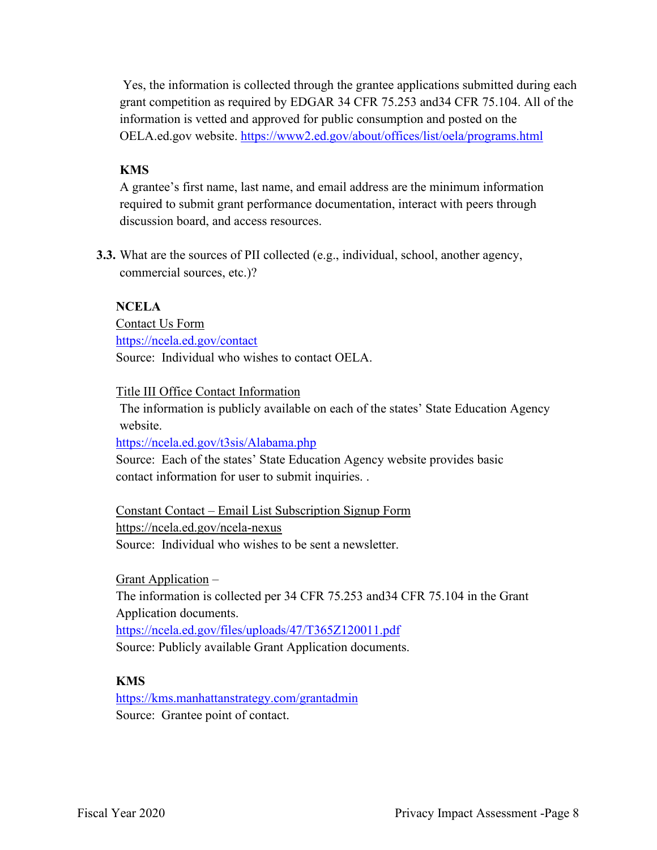Yes, the information is collected through the grantee applications submitted during each grant competition as required by EDGAR 34 CFR 75.253 and34 CFR 75.104. All of the information is vetted and approved for public consumption and posted on the [OELA.ed.gov](https://OELA.ed.gov) website. <https://www2.ed.gov/about/offices/list/oela/programs.html>

## **KMS**

 A grantee's first name, last name, and email address are the minimum information discussion board, and access resources. required to submit grant performance documentation, interact with peers through

**3.3.** What are the sources of PII collected (e.g., individual, school, another agency, commercial sources, etc.)?

## **NCELA**

 Source: Individual who wishes to contact OELA. Contact Us Form <https://ncela.ed.gov/contact>

Title III Office Contact Information

The information is publicly available on each of the states' State Education Agency website.

<https://ncela.ed.gov/t3sis/Alabama.php>

Source: Each of the states' State Education Agency website provides basic contact information for user to submit inquiries. .

 Source: Individual who wishes to be sent a newsletter. Constant Contact – Email List Subscription Signup Form <https://ncela.ed.gov/ncela-nexus>

Grant Application – The information is collected per 34 CFR 75.253 and34 CFR 75.104 in the Grant Application documents. <https://ncela.ed.gov/files/uploads/47/T365Z120011.pdf> Source: Publicly available Grant Application documents.

## **KMS**

 Source: Grantee point of contact. <https://kms.manhattanstrategy.com/grantadmin>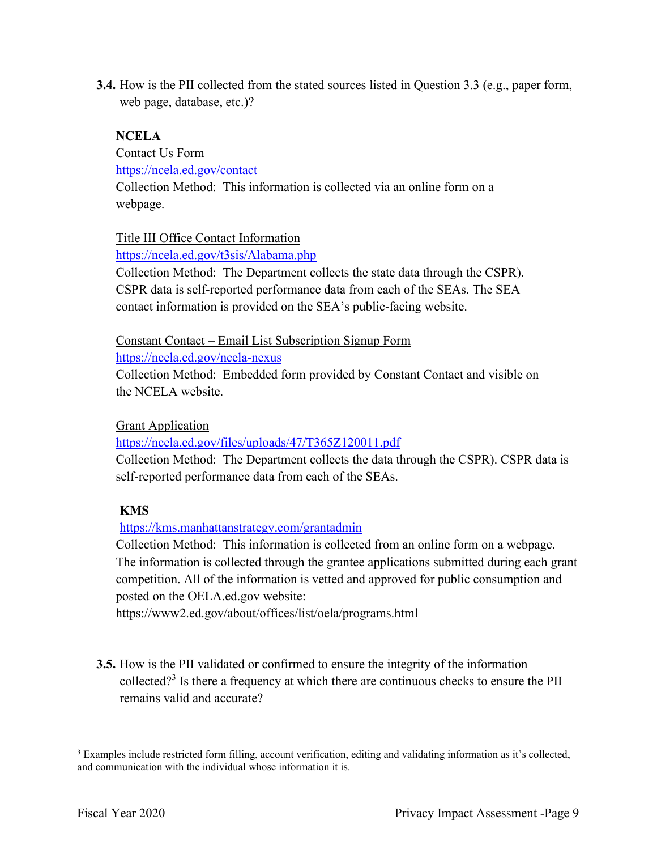**3.4.** How is the PII collected from the stated sources listed in Question 3.3 (e.g., paper form, web page, database, etc.)?

## **NCELA**

Contact Us Form <https://ncela.ed.gov/contact> Collection Method: This information is collected via an online form on a webpage.

Title III Office Contact Information

<https://ncela.ed.gov/t3sis/Alabama.php>

 Collection Method: The Department collects the state data through the CSPR). CSPR data is self-reported performance data from each of the SEAs. The SEA contact information is provided on the SEA's public-facing website.

Constant Contact – Email List Subscription Signup Form

https://ncela.ed.gov/ncela-nexus

Collection Method: Embedded form provided by Constant Contact and visible on the NCELA website.

Grant Application

<https://ncela.ed.gov/files/uploads/47/T365Z120011.pdf>

Collection Method: The Department collects the data through the CSPR). CSPR data is self-reported performance data from each of the SEAs.

## **KMS**

<https://kms.manhattanstrategy.com/grantadmin>

Collection Method: This information is collected from an online form on a webpage. The information is collected through the grantee applications submitted during each grant competition. All of the information is vetted and approved for public consumption and posted on the [OELA.ed.gov](https://OELA.ed.gov) website:

<https://www2.ed.gov/about/offices/list/oela/programs.html>

**3.5.** How is the PII validated or confirmed to ensure the integrity of the information collected?<sup>3</sup> Is there a frequency at which there are continuous checks to ensure the PII remains valid and accurate?

and communication with the individual whose information it is. <sup>3</sup> Examples include restricted form filling, account verification, editing and validating information as it's collected, and communication with the individual whose information it is.<br>Fiscal Year 2020 Privacy Impact Assessment -Page 9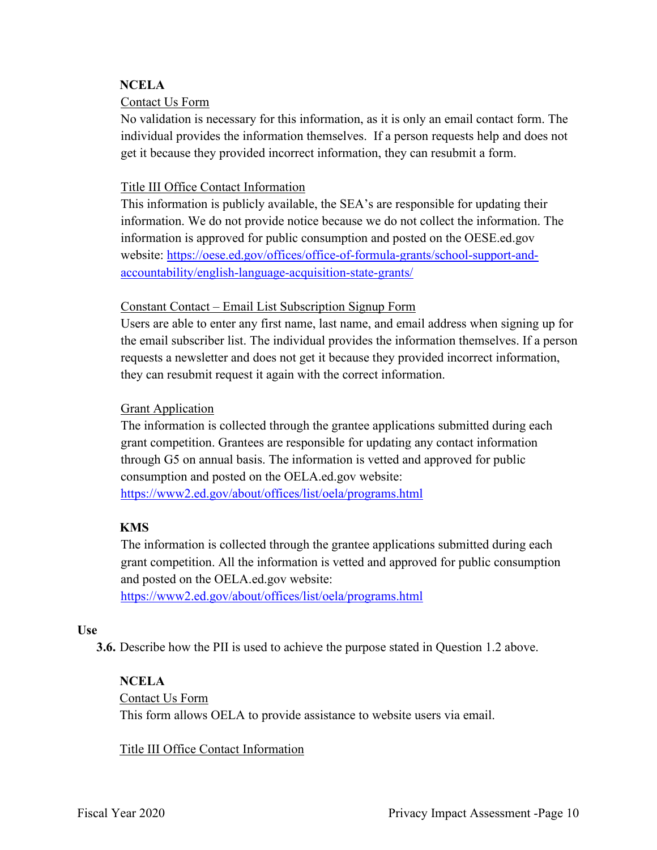## **NCELA**

## Contact Us Form

No validation is necessary for this information, as it is only an email contact form. The individual provides the information themselves. If a person requests help and does not get it because they provided incorrect information, they can resubmit a form.

## Title III Office Contact Information

This information is publicly available, the SEA's are responsible for updating their information. We do not provide notice because we do not collect the information. The information is approved for public consumption and posted on the [OESE.ed.gov](https://OESE.ed.gov) website: <https://oese.ed.gov/offices/office-of-formula-grants/school-support-and>accountability/english-language-acquisition-state-grants/

## Constant Contact – Email List Subscription Signup Form

Users are able to enter any first name, last name, and email address when signing up for the email subscriber list. The individual provides the information themselves. If a person requests a newsletter and does not get it because they provided incorrect information, they can resubmit request it again with the correct information.

## Grant Application

The information is collected through the grantee applications submitted during each grant competition. Grantees are responsible for updating any contact information through G5 on annual basis. The information is vetted and approved for public consumption and posted on the [OELA.ed.gov](https://OELA.ed.gov) website: <https://www2.ed.gov/about/offices/list/oela/programs.html>

## **KMS**

The information is collected through the grantee applications submitted during each grant competition. All the information is vetted and approved for public consumption and posted on the [OELA.ed.gov](https://OELA.ed.gov) website:

<https://www2.ed.gov/about/offices/list/oela/programs.html>

## **Use**

**3.6.** Describe how the PII is used to achieve the purpose stated in Question 1.2 above.

## **NCELA**

## Contact Us Form

This form allows OELA to provide assistance to website users via email.

## Title III Office Contact Information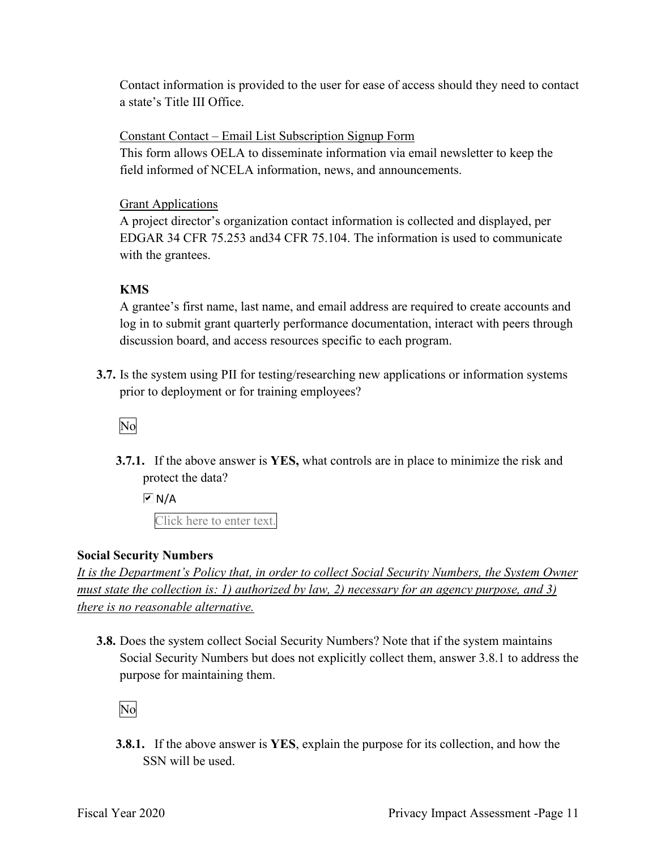a state's Title III Office. Contact information is provided to the user for ease of access should they need to contact

Constant Contact – Email List Subscription Signup Form

 This form allows OELA to disseminate information via email newsletter to keep the field informed of NCELA information, news, and announcements.

## Grant Applications

A project director's organization contact information is collected and displayed, per EDGAR 34 CFR 75.253 and34 CFR 75.104. The information is used to communicate with the grantees.

## **KMS**

 discussion board, and access resources specific to each program. A grantee's first name, last name, and email address are required to create accounts and log in to submit grant quarterly performance documentation, interact with peers through

**3.7.** Is the system using PII for testing/researching new applications or information systems prior to deployment or for training employees?

No

**3.7.1.** If the above answer is **YES,** what controls are in place to minimize the risk and protect the data?

 $\overline{M}$  N/A

Click here to enter text.

## **Social Security Numbers**

*It is the Department's Policy that, in order to collect Social Security Numbers, the System Owner must state the collection is: 1) authorized by law, 2) necessary for an agency purpose, and 3) there is no reasonable alternative.* 

 **3.8.** Does the system collect Social Security Numbers? Note that if the system maintains Social Security Numbers but does not explicitly collect them, answer 3.8.1 to address the purpose for maintaining them.

No

**3.8.1.** If the above answer is **YES**, explain the purpose for its collection, and how the SSN will be used.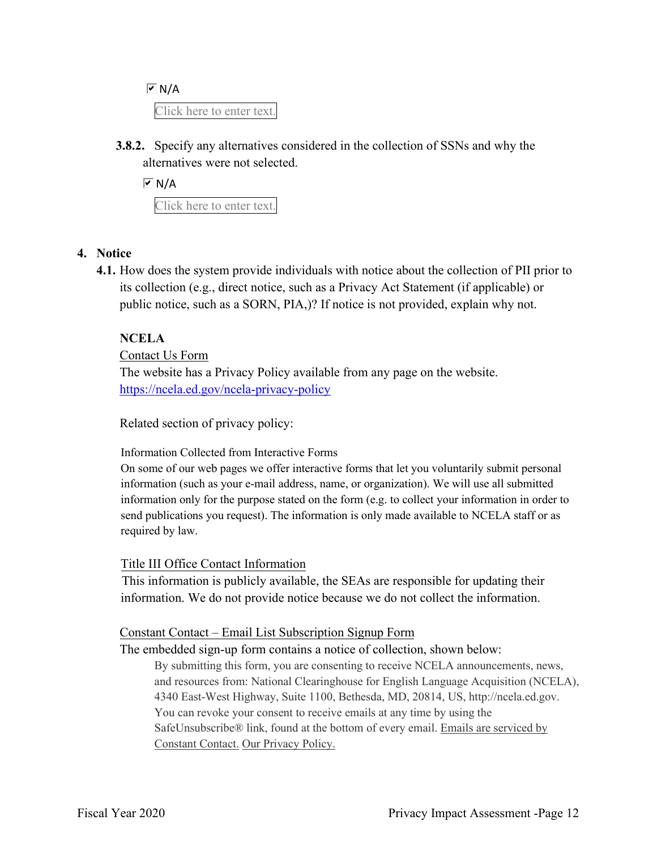

**3.8.2.** Specify any alternatives considered in the collection of SSNs and why the alternatives were not selected.



#### **4. Notice**

 public notice, such as a SORN, PIA,)? If notice is not provided, explain why not. **4.1.** How does the system provide individuals with notice about the collection of PII prior to its collection (e.g., direct notice, such as a Privacy Act Statement (if applicable) or

#### **NCELA**

#### Contact Us Form

The website has a Privacy Policy available from any page on the website. <https://ncela.ed.gov/ncela-privacy-policy>

Related section of privacy policy: Information Collected from Interactive Forms

 On some of our web pages we offer interactive forms that let you voluntarily submit personal information (such as your e-mail address, name, or organization). We will use all submitted information only for the purpose stated on the form (e.g. to collect your information in order to send publications you request). The information is only made available to NCELA staff or as required by law.

#### Title III Office Contact Information

This information is publicly available, the SEAs are responsible for updating their information. We do not provide notice because we do not collect the information.

#### Constant Contact – Email List Subscription Signup Form

The embedded sign-up form contains a notice of collection, shown below:

 By submitting this form, you are consenting to receive NCELA announcements, news, SafeUnsubscribe® link, found at the bottom of every email. Emails are serviced by Constant Contact. Our Privacy Policy. and resources from: National Clearinghouse for English Language Acquisition (NCELA), 4340 East-West Highway, Suite 1100, Bethesda, MD, 20814, US, [http://ncela.ed.gov.](http://ncela.ed.gov) You can revoke your consent to receive emails at any time by using the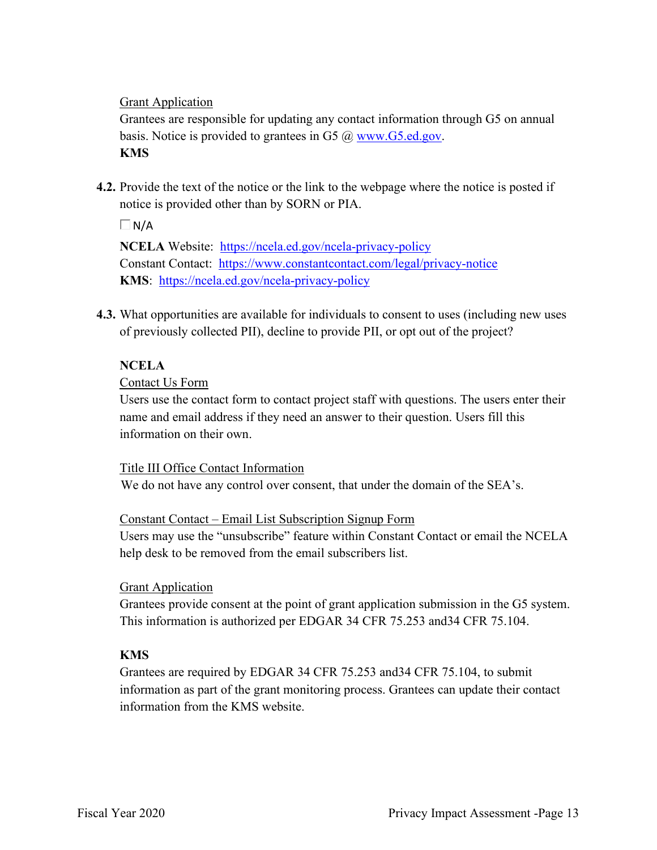Grant Application

 Grantees are responsible for updating any contact information through G5 on annual basis. Notice is provided to grantees in G5 @ [www.G5.ed.gov.](www.G5.ed.gov) **KMS** 

**4.2.** Provide the text of the notice or the link to the webpage where the notice is posted if notice is provided other than by SORN or PIA.

 $\Box$ N/A

**NCELA** Website: https://ncela.ed.gov/ncela-privacy-policy Constant Contact: https://www.constantcontact.com/legal/privacy-notice **KMS**: <https://ncela.ed.gov/ncela-privacy-policy>

**4.3.** What opportunities are available for individuals to consent to uses (including new uses of previously collected PII), decline to provide PII, or opt out of the project?

## **NCELA**

#### Contact Us Form

Users use the contact form to contact project staff with questions. The users enter their name and email address if they need an answer to their question. Users fill this information on their own.

#### Title III Office Contact Information

We do not have any control over consent, that under the domain of the SEA's.

#### Constant Contact – Email List Subscription Signup Form

Users may use the "unsubscribe" feature within Constant Contact or email the NCELA help desk to be removed from the email subscribers list.

#### **Grant Application**

Grantees provide consent at the point of grant application submission in the G5 system. This information is authorized per EDGAR 34 CFR 75.253 and34 CFR 75.104.

## **KMS**

 Grantees are required by EDGAR 34 CFR 75.253 and34 CFR 75.104, to submit information as part of the grant monitoring process. Grantees can update their contact information from the KMS website.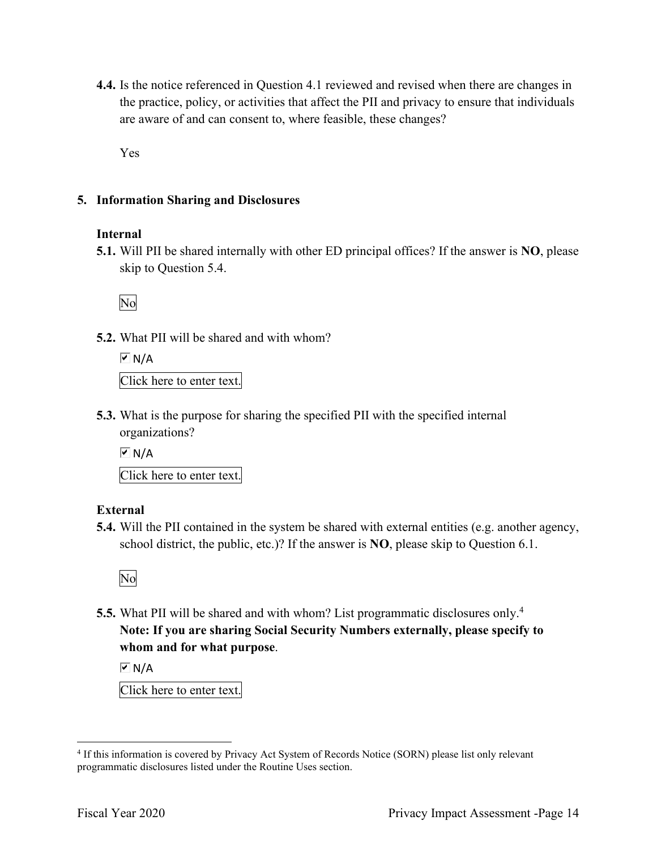are aware of and can consent to, where feasible, these changes? **4.4.** Is the notice referenced in Question 4.1 reviewed and revised when there are changes in the practice, policy, or activities that affect the PII and privacy to ensure that individuals

Yes

#### **5. Information Sharing and Disclosures**

#### **Internal**

 **5.1.** Will PII be shared internally with other ED principal offices? If the answer is **NO**, please skip to Question 5.4.

No

**5.2.** What PII will be shared and with whom?

 Click here to enter text.  $\overline{M}$  N/A

 organizations? **5.3.** What is the purpose for sharing the specified PII with the specified internal

 $\overline{M}$  N/A

Click here to enter text.

#### **External**

 school district, the public, etc.)? If the answer is **NO**, please skip to Question 6.1. **5.4.** Will the PII contained in the system be shared with external entities (e.g. another agency,



 **5.5.** What PII will be shared and with whom? List programmatic disclosures only.4 **Note: If you are sharing Social Security Numbers externally, please specify to whom and for what purpose**.

 $\overline{M}$  N/A

Click here to enter text.

<sup>&</sup>lt;sup>4</sup> If this information is covered by Privacy Act System of Records Notice (SORN) please list only relevant programmatic disclosures listed under the Routine Uses section.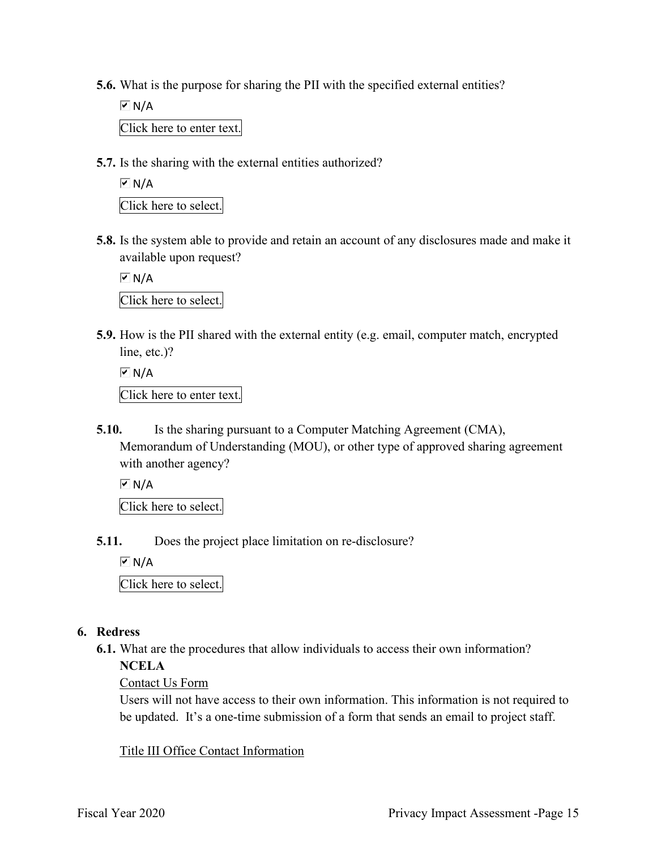- **5.6.** What is the purpose for sharing the PII with the specified external entities?
	- Click here to enter text.  $\overline{M}$  N/A
- **5.7.** Is the sharing with the external entities authorized?

 $\overline{M}$  N/A

Click here to select.

**5.8.** Is the system able to provide and retain an account of any disclosures made and make it available upon request?

 Click here to select.  $\overline{M}$  N/A

 **5.9.** How is the PII shared with the external entity (e.g. email, computer match, encrypted line, etc.)?

 Click here to enter text.  $\overline{M}$  N/A

**5.10.** Is the sharing pursuant to a Computer Matching Agreement (CMA), Memorandum of Understanding (MOU), or other type of approved sharing agreement with another agency?

 $\overline{M}$  N/A

Click here to select.

**5.11.** Does the project place limitation on re-disclosure?

 $\overline{M}$  N/A

Click here to select.

#### **6. Redress**

**6.1.** What are the procedures that allow individuals to access their own information?

## **NCELA**

## Contact Us Form

Users will not have access to their own information. This information is not required to be updated. It's a one-time submission of a form that sends an email to project staff.

## Title III Office Contact Information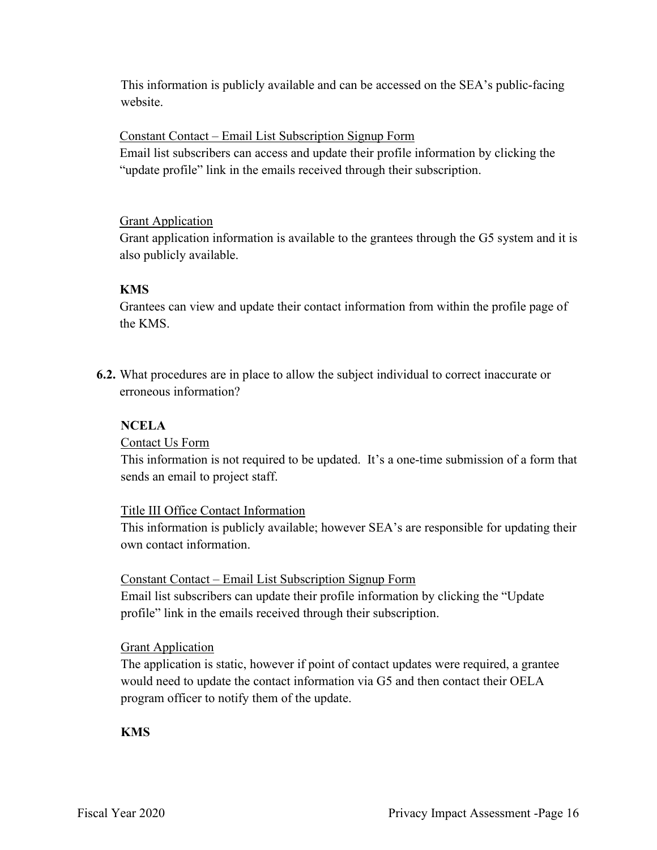This information is publicly available and can be accessed on the SEA's public-facing website.

### Constant Contact – Email List Subscription Signup Form

Email list subscribers can access and update their profile information by clicking the "update profile" link in the emails received through their subscription.

#### Grant Application

Grant application information is available to the grantees through the G5 system and it is also publicly available.

## **KMS**

Grantees can view and update their contact information from within the profile page of the KMS.

**6.2.** What procedures are in place to allow the subject individual to correct inaccurate or erroneous information?

## **NCELA**

#### Contact Us Form

This information is not required to be updated. It's a one-time submission of a form that sends an email to project staff.

#### Title III Office Contact Information

 This information is publicly available; however SEA's are responsible for updating their own contact information.

#### Constant Contact – Email List Subscription Signup Form

Email list subscribers can update their profile information by clicking the "Update profile" link in the emails received through their subscription.

#### Grant Application

 The application is static, however if point of contact updates were required, a grantee would need to update the contact information via G5 and then contact their OELA program officer to notify them of the update.

#### **KMS**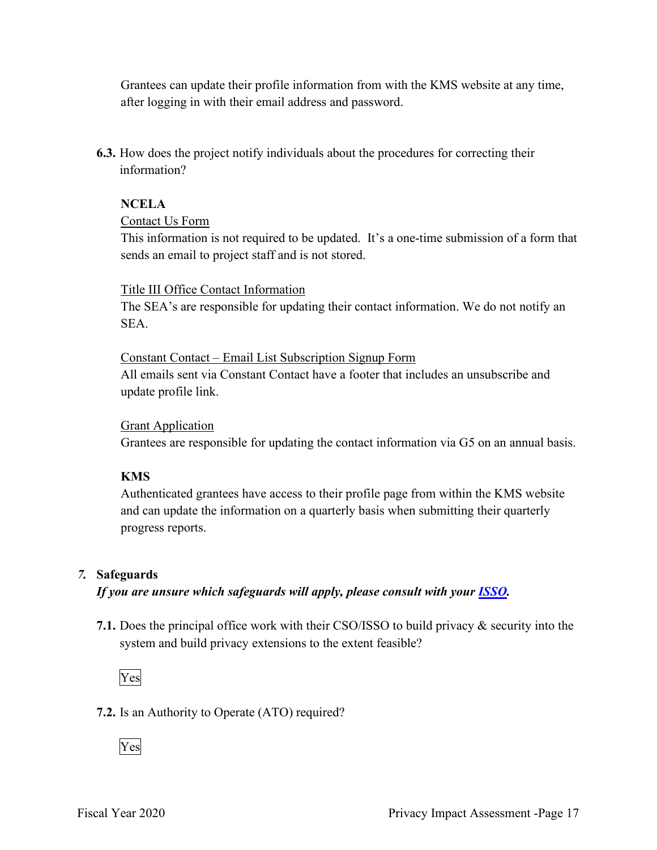Grantees can update their profile information from with the KMS website at any time, after logging in with their email address and password.

**6.3.** How does the project notify individuals about the procedures for correcting their information?

## **NCELA**

#### Contact Us Form

This information is not required to be updated. It's a one-time submission of a form that sends an email to project staff and is not stored.

#### Title III Office Contact Information

The SEA's are responsible for updating their contact information. We do not notify an SEA.

 Constant Contact – Email List Subscription Signup Form All emails sent via Constant Contact have a footer that includes an unsubscribe and update profile link.

#### Grant Application

Grantees are responsible for updating the contact information via G5 on an annual basis.

## **KMS**

Authenticated grantees have access to their profile page from within the KMS website and can update the information on a quarterly basis when submitting their quarterly progress reports.

## *7.* **Safeguards**

 *If you are unsure which safeguards will apply, please consult with your ISSO.* 

 system and build privacy extensions to the extent feasible? **7.1.** Does the principal office work with their CSO/ISSO to build privacy & security into the

Yes

## **7.2.** Is an Authority to Operate (ATO) required?

Yes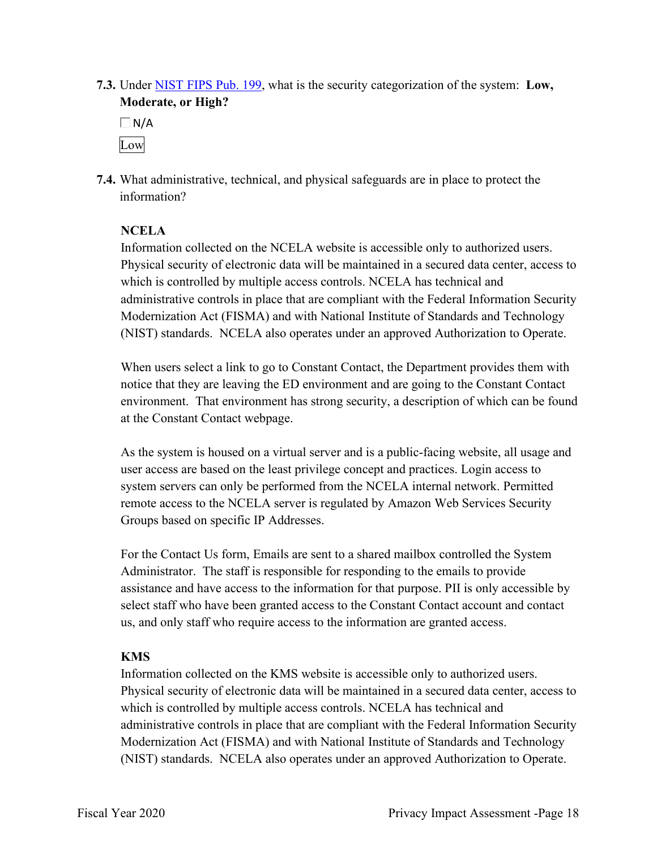**7.3.** Under NIST FIPS Pub. 199, what is the security categorization of the system: **Low, Moderate, or High?** 

 $\Box$  N/A Low

**7.4.** What administrative, technical, and physical safeguards are in place to protect the information?

## **NCELA**

Information collected on the NCELA website is accessible only to authorized users. Physical security of electronic data will be maintained in a secured data center, access to which is controlled by multiple access controls. NCELA has technical and administrative controls in place that are compliant with the Federal Information Security Modernization Act (FISMA) and with National Institute of Standards and Technology (NIST) standards. NCELA also operates under an approved Authorization to Operate.

 at the Constant Contact webpage. When users select a link to go to Constant Contact, the Department provides them with notice that they are leaving the ED environment and are going to the Constant Contact environment. That environment has strong security, a description of which can be found

 As the system is housed on a virtual server and is a public-facing website, all usage and remote access to the NCELA server is regulated by Amazon Web Services Security user access are based on the least privilege concept and practices. Login access to system servers can only be performed from the NCELA internal network. Permitted Groups based on specific IP Addresses.

 Administrator. The staff is responsible for responding to the emails to provide For the Contact Us form, Emails are sent to a shared mailbox controlled the System assistance and have access to the information for that purpose. PII is only accessible by select staff who have been granted access to the Constant Contact account and contact us, and only staff who require access to the information are granted access.

## **KMS**

 Information collected on the KMS website is accessible only to authorized users. Physical security of electronic data will be maintained in a secured data center, access to which is controlled by multiple access controls. NCELA has technical and administrative controls in place that are compliant with the Federal Information Security Modernization Act (FISMA) and with National Institute of Standards and Technology (NIST) standards. NCELA also operates under an approved Authorization to Operate.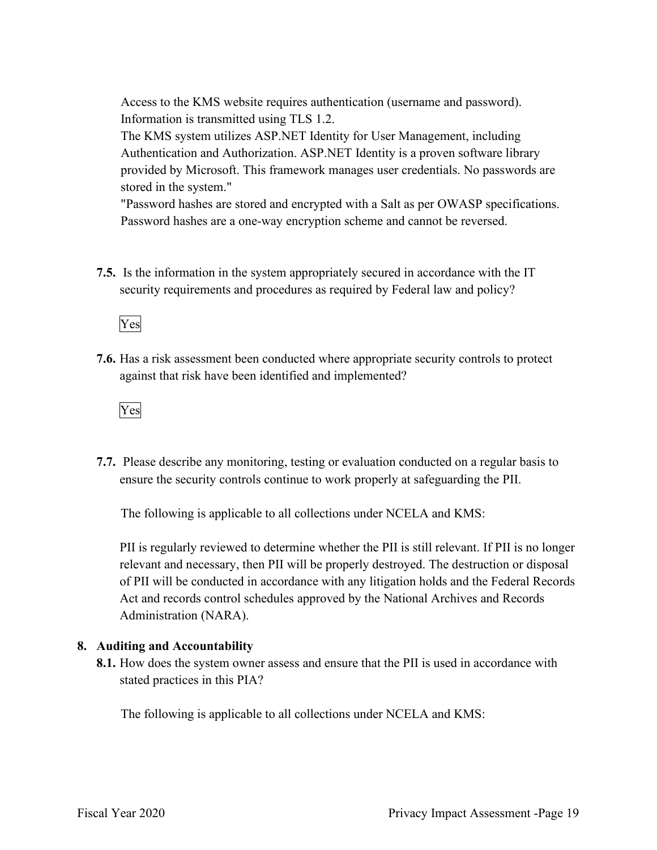Access to the KMS website requires authentication (username and password). Information is transmitted using TLS 1.2.

The KMS system utilizes ASP.NET Identity for User Management, including Authentication and Authorization. ASP.NET Identity is a proven software library provided by Microsoft. This framework manages user credentials. No passwords are stored in the system."

 Password hashes are a one-way encryption scheme and cannot be reversed. "Password hashes are stored and encrypted with a Salt as per OWASP specifications.

 **7.5.** Is the information in the system appropriately secured in accordance with the IT security requirements and procedures as required by Federal law and policy?

Yes

**7.6.** Has a risk assessment been conducted where appropriate security controls to protect against that risk have been identified and implemented?

Yes

 ensure the security controls continue to work properly at safeguarding the PII. **7.7.** Please describe any monitoring, testing or evaluation conducted on a regular basis to

The following is applicable to all collections under NCELA and KMS:

 relevant and necessary, then PII will be properly destroyed. The destruction or disposal Act and records control schedules approved by the National Archives and Records PII is regularly reviewed to determine whether the PII is still relevant. If PII is no longer of PII will be conducted in accordance with any litigation holds and the Federal Records Administration (NARA).

#### **8. Auditing and Accountability**

 **8.1.** How does the system owner assess and ensure that the PII is used in accordance with stated practices in this PIA?

The following is applicable to all collections under NCELA and KMS: